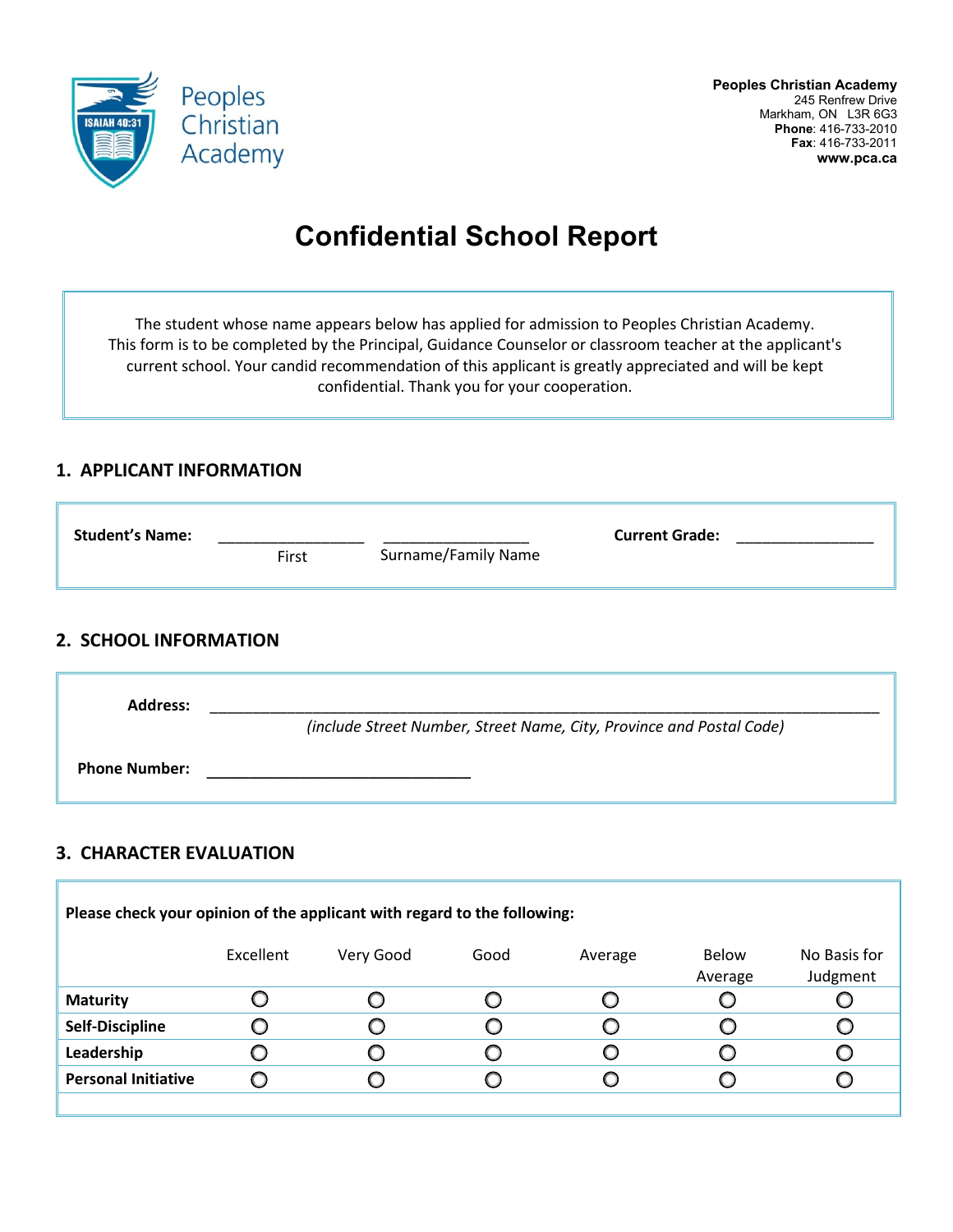

# **Confidential School Report**

The student whose name appears below has applied for admission to Peoples Christian Academy. This form is to be completed by the Principal, Guidance Counselor or classroom teacher at the applicant's current school. Your candid recommendation of this applicant is greatly appreciated and will be kept confidential. Thank you for your cooperation.

#### **1. APPLICANT INFORMATION**

| <b>Student's Name:</b> | First | Surname/Family Name | <b>Current Grade:</b> |
|------------------------|-------|---------------------|-----------------------|
|                        |       |                     |                       |

### **2. SCHOOL INFORMATION**

| <b>Address:</b>      |                                                                      |  |  |  |
|----------------------|----------------------------------------------------------------------|--|--|--|
|                      | (include Street Number, Street Name, City, Province and Postal Code) |  |  |  |
| <b>Phone Number:</b> |                                                                      |  |  |  |

### **3. CHARACTER EVALUATION**

| Please check your opinion of the applicant with regard to the following: |           |           |      |         |                  |                          |
|--------------------------------------------------------------------------|-----------|-----------|------|---------|------------------|--------------------------|
|                                                                          | Excellent | Very Good | Good | Average | Below<br>Average | No Basis for<br>Judgment |
| <b>Maturity</b>                                                          |           | U         |      |         |                  |                          |
| Self-Discipline                                                          |           |           |      |         |                  |                          |
| Leadership                                                               |           |           |      |         |                  |                          |
| <b>Personal Initiative</b>                                               |           | O         | O    |         |                  |                          |
|                                                                          |           |           |      |         |                  |                          |